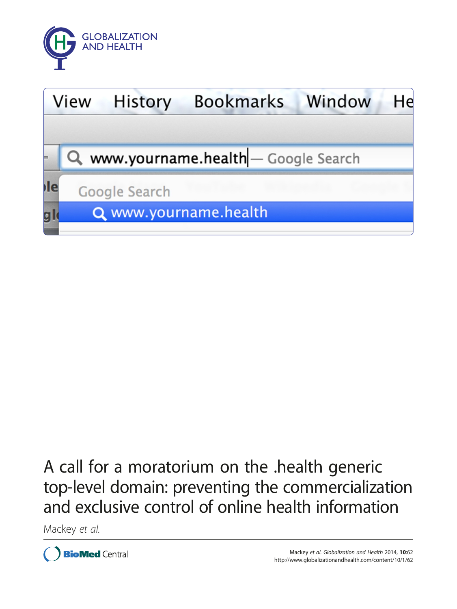



# A call for a moratorium on the .health generic top-level domain: preventing the commercialization and exclusive control of online health information

Mackey et al.

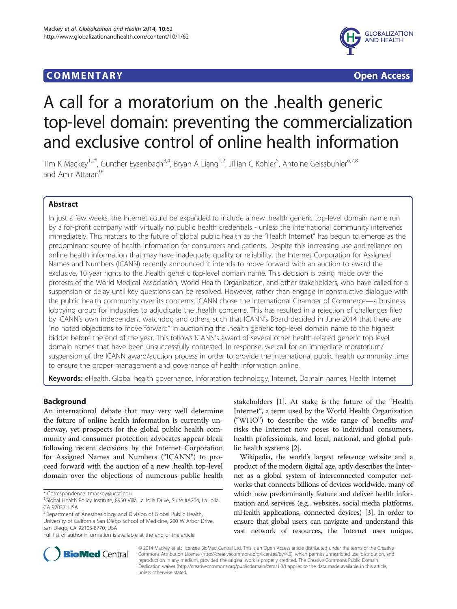# **COMMENTARY COMMENTARY Open Access**



# A call for a moratorium on the .health generic top-level domain: preventing the commercialization and exclusive control of online health information

Tim K Mackey<sup>1,2\*</sup>, Gunther Eysenbach<sup>3,4</sup>, Bryan A Liang<sup>1,2</sup>, Jillian C Kohler<sup>5</sup>, Antoine Geissbuhler<sup>6,7,8</sup> and Amir Attaran<sup>9</sup>

## Abstract

In just a few weeks, the Internet could be expanded to include a new .health generic top-level domain name run by a for-profit company with virtually no public health credentials - unless the international community intervenes immediately. This matters to the future of global public health as the "Health Internet" has begun to emerge as the predominant source of health information for consumers and patients. Despite this increasing use and reliance on online health information that may have inadequate quality or reliability, the Internet Corporation for Assigned Names and Numbers (ICANN) recently announced it intends to move forward with an auction to award the exclusive, 10 year rights to the .health generic top-level domain name. This decision is being made over the protests of the World Medical Association, World Health Organization, and other stakeholders, who have called for a suspension or delay until key questions can be resolved. However, rather than engage in constructive dialogue with the public health community over its concerns, ICANN chose the International Chamber of Commerce—a business lobbying group for industries to adjudicate the .health concerns. This has resulted in a rejection of challenges filed by ICANN's own independent watchdog and others, such that ICANN's Board decided in June 2014 that there are "no noted objections to move forward" in auctioning the .health generic top-level domain name to the highest bidder before the end of the year. This follows ICANN's award of several other health-related generic top-level domain names that have been unsuccessfully contested. In response, we call for an immediate moratorium/ suspension of the ICANN award/auction process in order to provide the international public health community time to ensure the proper management and governance of health information online.

Keywords: eHealth, Global health governance, Information technology, Internet, Domain names, Health Internet

## Background

An international debate that may very well determine the future of online health information is currently underway, yet prospects for the global public health community and consumer protection advocates appear bleak following recent decisions by the Internet Corporation for Assigned Names and Numbers ("ICANN") to proceed forward with the auction of a new .health top-level domain over the objections of numerous public health

<sup>2</sup>Department of Anesthesiology and Division of Global Public Health, University of California San Diego School of Medicine, 200 W Arbor Drive, San Diego, CA 92103-8770, USA

stakeholders [\[1](#page-9-0)]. At stake is the future of the "Health Internet", a term used by the World Health Organization ("WHO") to describe the wide range of benefits and risks the Internet now poses to individual consumers, health professionals, and local, national, and global public health systems [[2\]](#page-9-0).

Wikipedia, the world's largest reference website and a product of the modern digital age, aptly describes the Internet as a global system of interconnected computer networks that connects billions of devices worldwide, many of which now predominantly feature and deliver health information and services (e.g., websites, social media platforms, mHealth applications, connected devices) [\[3](#page-9-0)]. In order to ensure that global users can navigate and understand this vast network of resources, the Internet uses unique,



© 2014 Mackey et al.; licensee BioMed Central Ltd. This is an Open Access article distributed under the terms of the Creative Commons Attribution License [\(http://creativecommons.org/licenses/by/4.0\)](http://creativecommons.org/licenses/by/4.0), which permits unrestricted use, distribution, and reproduction in any medium, provided the original work is properly credited. The Creative Commons Public Domain Dedication waiver [\(http://creativecommons.org/publicdomain/zero/1.0/](http://creativecommons.org/publicdomain/zero/1.0/)) applies to the data made available in this article, unless otherwise stated.

<sup>\*</sup> Correspondence: [tmackey@ucsd.edu](mailto:tmackey@ucsd.edu) <sup>1</sup>

<sup>&</sup>lt;sup>1</sup>Global Health Policy Institute, 8950 Villa La Jolla Drive, Suite #A204, La Jolla, CA 92037, USA

Full list of author information is available at the end of the article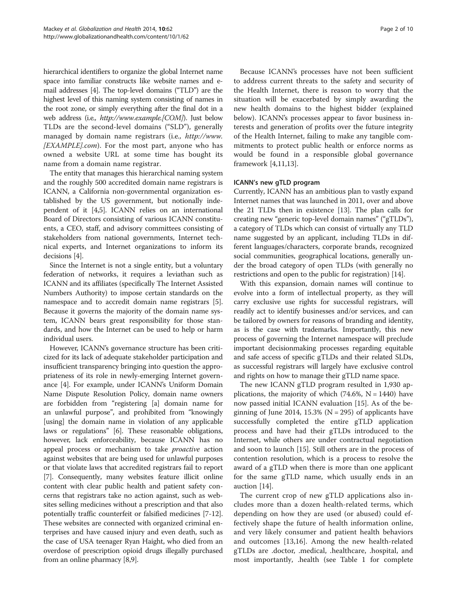hierarchical identifiers to organize the global Internet name space into familiar constructs like website names and email addresses [[4](#page-9-0)]. The top-level domains ("TLD") are the highest level of this naming system consisting of names in the root zone, or simply everything after the final dot in a web address (i.e., http://www.example.[COM]). Just below TLDs are the second-level domains ("SLD"), generally managed by domain name registrars (i.e., http://www.  $[EXAMPLE].com$ ). For the most part, anyone who has owned a website URL at some time has bought its name from a domain name registrar.

The entity that manages this hierarchical naming system and the roughly 500 accredited domain name registrars is ICANN, a California non-governmental organization established by the US government, but notionally independent of it [\[4,5](#page-9-0)]. ICANN relies on an international Board of Directors consisting of various ICANN constituents, a CEO, staff, and advisory committees consisting of stakeholders from national governments, Internet technical experts, and Internet organizations to inform its decisions [\[4\]](#page-9-0).

Since the Internet is not a single entity, but a voluntary federation of networks, it requires a leviathan such as ICANN and its affiliates (specifically The Internet Assisted Numbers Authority) to impose certain standards on the namespace and to accredit domain name registrars [[5](#page-9-0)]. Because it governs the majority of the domain name system, ICANN bears great responsibility for those standards, and how the Internet can be used to help or harm individual users.

However, ICANN's governance structure has been criticized for its lack of adequate stakeholder participation and insufficient transparency bringing into question the appropriateness of its role in newly-emerging Internet governance [[4\]](#page-9-0). For example, under ICANN's Uniform Domain Name Dispute Resolution Policy, domain name owners are forbidden from "registering [a] domain name for an unlawful purpose", and prohibited from "knowingly [using] the domain name in violation of any applicable laws or regulations" [[6\]](#page-9-0). These reasonable obligations, however, lack enforceability, because ICANN has no appeal process or mechanism to take *proactive* action against websites that are being used for unlawful purposes or that violate laws that accredited registrars fail to report [[7\]](#page-9-0). Consequently, many websites feature illicit online content with clear public health and patient safety concerns that registrars take no action against, such as websites selling medicines without a prescription and that also potentially traffic counterfeit or falsified medicines [\[7](#page-9-0)-[12](#page-9-0)]. These websites are connected with organized criminal enterprises and have caused injury and even death, such as the case of USA teenager Ryan Haight, who died from an overdose of prescription opioid drugs illegally purchased from an online pharmacy [[8](#page-9-0),[9](#page-9-0)].

Because ICANN's processes have not been sufficient to address current threats to the safety and security of the Health Internet, there is reason to worry that the situation will be exacerbated by simply awarding the new health domains to the highest bidder (explained below). ICANN's processes appear to favor business interests and generation of profits over the future integrity of the Health Internet, failing to make any tangible commitments to protect public health or enforce norms as would be found in a responsible global governance framework [[4,11,13\]](#page-9-0).

#### ICANN's new gTLD program

Currently, ICANN has an ambitious plan to vastly expand Internet names that was launched in 2011, over and above the 21 TLDs then in existence [\[13\]](#page-9-0). The plan calls for creating new "generic top-level domain names" ("gTLDs"), a category of TLDs which can consist of virtually any TLD name suggested by an applicant, including TLDs in different languages/characters, corporate brands, recognized social communities, geographical locations, generally under the broad category of open TLDs (with generally no restrictions and open to the public for registration) [\[14](#page-9-0)].

With this expansion, domain names will continue to evolve into a form of intellectual property, as they will carry exclusive use rights for successful registrars, will readily act to identify businesses and/or services, and can be tailored by owners for reasons of branding and identity, as is the case with trademarks. Importantly, this new process of governing the Internet namespace will preclude important decisionmaking processes regarding equitable and safe access of specific gTLDs and their related SLDs, as successful registrars will largely have exclusive control and rights on how to manage their gTLD name space.

The new ICANN gTLD program resulted in 1,930 applications, the majority of which  $(74.6\%, N = 1440)$  have now passed initial ICANN evaluation [[15](#page-9-0)]. As of the beginning of June 2014, 15.3% ( $N = 295$ ) of applicants have successfully completed the entire gTLD application process and have had their gTLDs introduced to the Internet, while others are under contractual negotiation and soon to launch [[15\]](#page-9-0). Still others are in the process of contention resolution, which is a process to resolve the award of a gTLD when there is more than one applicant for the same gTLD name, which usually ends in an auction [\[14](#page-9-0)].

The current crop of new gTLD applications also includes more than a dozen health-related terms, which depending on how they are used (or abused) could effectively shape the future of health information online, and very likely consumer and patient health behaviors and outcomes [[13,16](#page-9-0)]. Among the new health-related gTLDs are .doctor, .medical, .healthcare, .hospital, and most importantly, .health (see Table [1](#page-4-0) for complete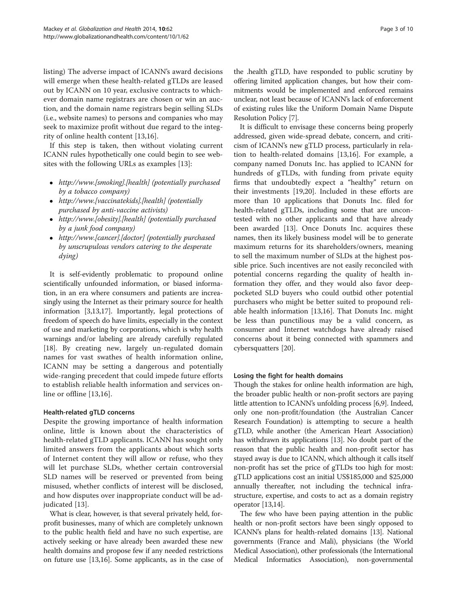listing) The adverse impact of ICANN's award decisions will emerge when these health-related gTLDs are leased out by ICANN on 10 year, exclusive contracts to whichever domain name registrars are chosen or win an auction, and the domain name registrars begin selling SLDs (i.e., website names) to persons and companies who may seek to maximize profit without due regard to the integrity of online health content [[13,16](#page-9-0)].

If this step is taken, then without violating current ICANN rules hypothetically one could begin to see websites with the following URLs as examples [\[13](#page-9-0)]:

- http://www.[smoking].[health] (potentially purchased by a tobacco company)
- http://www.[vaccinatekids].[health] (potentially purchased by anti-vaccine activists)
- http://www.[obesity].[health] (potentially purchased by a junk food company)
- http://www.[cancer].[doctor] (potentially purchased by unscrupulous vendors catering to the desperate dying)

It is self-evidently problematic to propound online scientifically unfounded information, or biased information, in an era where consumers and patients are increasingly using the Internet as their primary source for health information [\[3,13,17](#page-9-0)]. Importantly, legal protections of freedom of speech do have limits, especially in the context of use and marketing by corporations, which is why health warnings and/or labeling are already carefully regulated [[18](#page-9-0)]. By creating new, largely un-regulated domain names for vast swathes of health information online, ICANN may be setting a dangerous and potentially wide-ranging precedent that could impede future efforts to establish reliable health information and services online or offline [[13,16\]](#page-9-0).

#### Health-related gTLD concerns

Despite the growing importance of health information online, little is known about the characteristics of health-related gTLD applicants. ICANN has sought only limited answers from the applicants about which sorts of Internet content they will allow or refuse, who they will let purchase SLDs, whether certain controversial SLD names will be reserved or prevented from being misused, whether conflicts of interest will be disclosed, and how disputes over inappropriate conduct will be adjudicated [[13\]](#page-9-0).

What is clear, however, is that several privately held, forprofit businesses, many of which are completely unknown to the public health field and have no such expertise, are actively seeking or have already been awarded these new health domains and propose few if any needed restrictions on future use [\[13,16](#page-9-0)]. Some applicants, as in the case of the .health gTLD, have responded to public scrutiny by offering limited application changes, but how their commitments would be implemented and enforced remains unclear, not least because of ICANN's lack of enforcement of existing rules like the Uniform Domain Name Dispute Resolution Policy [[7](#page-9-0)].

It is difficult to envisage these concerns being properly addressed, given wide-spread debate, concern, and criticism of ICANN's new gTLD process, particularly in relation to health-related domains [[13,16\]](#page-9-0). For example, a company named Donuts Inc. has applied to ICANN for hundreds of gTLDs, with funding from private equity firms that undoubtedly expect a "healthy" return on their investments [\[19,20\]](#page-9-0). Included in these efforts are more than 10 applications that Donuts Inc. filed for health-related gTLDs, including some that are uncontested with no other applicants and that have already been awarded [[13\]](#page-9-0). Once Donuts Inc. acquires these names, then its likely business model will be to generate maximum returns for its shareholders/owners, meaning to sell the maximum number of SLDs at the highest possible price. Such incentives are not easily reconciled with potential concerns regarding the quality of health information they offer, and they would also favor deeppocketed SLD buyers who could outbid other potential purchasers who might be better suited to propound reliable health information [[13,16](#page-9-0)]. That Donuts Inc. might be less than punctilious may be a valid concern, as consumer and Internet watchdogs have already raised concerns about it being connected with spammers and cybersquatters [[20\]](#page-9-0).

#### Losing the fight for health domains

Though the stakes for online health information are high, the broader public health or non-profit sectors are paying little attention to ICANN's unfolding process [[6](#page-9-0),[9](#page-9-0)]. Indeed, only one non-profit/foundation (the Australian Cancer Research Foundation) is attempting to secure a health gTLD, while another (the American Heart Association) has withdrawn its applications [\[13](#page-9-0)]. No doubt part of the reason that the public health and non-profit sector has stayed away is due to ICANN, which although it calls itself non-profit has set the price of gTLDs too high for most: gTLD applications cost an initial US\$185,000 and \$25,000 annually thereafter, not including the technical infrastructure, expertise, and costs to act as a domain registry operator [[13,14\]](#page-9-0).

The few who have been paying attention in the public health or non-profit sectors have been singly opposed to ICANN's plans for health-related domains [[13](#page-9-0)]. National governments (France and Mali), physicians (the World Medical Association), other professionals (the International Medical Informatics Association), non-governmental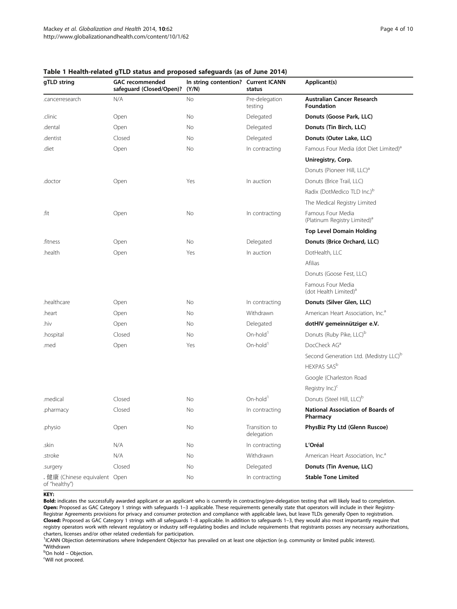| gTLD string                   | <b>GAC</b> recommended<br>safeguard (Closed/Open)? | In string contention? Current ICANN<br>(Y/N) | status                      | Applicant(s)                                                  |
|-------------------------------|----------------------------------------------------|----------------------------------------------|-----------------------------|---------------------------------------------------------------|
| .cancerresearch               | N/A                                                | No                                           | Pre-delegation<br>testing   | <b>Australian Cancer Research</b><br><b>Foundation</b>        |
| .clinic                       | Open                                               | No                                           | Delegated                   | Donuts (Goose Park, LLC)                                      |
| .dental                       | Open                                               | No                                           | Delegated                   | Donuts (Tin Birch, LLC)                                       |
| .dentist                      | Closed                                             | No                                           | Delegated                   | Donuts (Outer Lake, LLC)                                      |
| .diet                         | Open                                               | No                                           | In contracting              | Famous Four Media (dot Diet Limited) <sup>d</sup>             |
|                               |                                                    |                                              |                             | Uniregistry, Corp.                                            |
|                               |                                                    |                                              |                             | Donuts (Pioneer Hill, LLC) <sup>a</sup>                       |
| .doctor                       | Open                                               | Yes                                          | In auction                  | Donuts (Brice Trail, LLC)                                     |
|                               |                                                    |                                              |                             | Radix (DotMedico TLD Inc.) <sup>b</sup>                       |
|                               |                                                    |                                              |                             | The Medical Registry Limited                                  |
| .fit                          | Open                                               | No                                           | In contracting              | Famous Four Media<br>(Platinum Registry Limited) <sup>a</sup> |
|                               |                                                    |                                              |                             | <b>Top Level Domain Holding</b>                               |
| .fitness                      | Open                                               | No                                           | Delegated                   | Donuts (Brice Orchard, LLC)                                   |
| .health                       | Open                                               | Yes                                          | In auction                  | DotHealth, LLC                                                |
|                               |                                                    |                                              |                             | Afilias                                                       |
|                               |                                                    |                                              |                             | Donuts (Goose Fest, LLC)                                      |
|                               |                                                    |                                              |                             | Famous Four Media<br>(dot Health Limited) <sup>a</sup>        |
| .healthcare                   | Open                                               | No                                           | In contracting              | Donuts (Silver Glen, LLC)                                     |
| .heart                        | Open                                               | No                                           | Withdrawn                   | American Heart Association, Inc. <sup>a</sup>                 |
| .hiv                          | Open                                               | No                                           | Delegated                   | dotHIV gemeinnütziger e.V.                                    |
| .hospital                     | Closed                                             | <b>No</b>                                    | $On$ -hold $1$              | Donuts (Ruby Pike, LLC) <sup>b</sup>                          |
| .med                          | Open                                               | Yes                                          | $On-hold1$                  | DocCheck AG <sup>a</sup>                                      |
|                               |                                                    |                                              |                             | Second Generation Ltd. (Medistry LLC) <sup>b</sup>            |
|                               |                                                    |                                              |                             | <b>HEXPAS SAS</b> b                                           |
|                               |                                                    |                                              |                             | Google (Charleston Road                                       |
|                               |                                                    |                                              |                             | Registry Inc.) <sup>c</sup>                                   |
| .medical                      | Closed                                             | <b>No</b>                                    | $On$ -hold <sup>1</sup>     | Donuts (Steel Hill, LLC) <sup>b</sup>                         |
| .pharmacy                     | Closed                                             | No                                           | In contracting              | National Association of Boards of<br>Pharmacy                 |
| .physio                       | Open                                               | No                                           | Transition to<br>delegation | PhysBiz Pty Ltd (Glenn Ruscoe)                                |
| .skin                         | N/A                                                | No                                           | In contracting              | L'Oréal                                                       |
| .stroke                       | N/A                                                | No                                           | Withdrawn                   | American Heart Association, Inc. <sup>a</sup>                 |
| surgery.                      | Closed                                             | No                                           | Delegated                   | Donuts (Tin Avenue, LLC)                                      |
| . 健康 (Chinese equivalent Open |                                                    | No                                           | In contracting              | <b>Stable Tone Limited</b>                                    |

## <span id="page-4-0"></span>Table 1 Health-related gTLD status and proposed safeguards (as of June 2014)

of "healthy")

Bold: indicates the successfully awarded applicant or an applicant who is currently in contracting/pre-delegation testing that will likely lead to completion. Open: Proposed as GAC Category 1 strings with safeguards 1-3 applicable. These requirements generally state that operators will include in their Registry-Registrar Agreements provisions for privacy and consumer protection and compliance with applicable laws, but leave TLDs generally Open to registration. Closed: Proposed as GAC Category 1 strings with all safeguards 1–8 applicable. In addition to safeguards 1–3, they would also most importantly require that registry operators work with relevant regulatory or industry self-regulating bodies and include requirements that registrants posses any necessary authorizations, charters, licenses and/or other related credentials for participation.

<sup>1</sup>ICANN Objection determinations where Independent Objector has prevailed on at least one objection (e.g. community or limited public interest).

a Withdrawn

<sup>b</sup>On hold – Objection.<br>Will not proceed

Will not proceed.

KEY: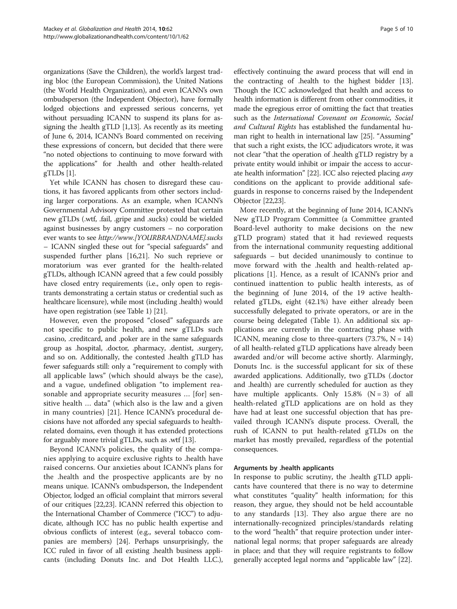organizations (Save the Children), the world's largest trading bloc (the European Commission), the United Nations (the World Health Organization), and even ICANN's own ombudsperson (the Independent Objector), have formally lodged objections and expressed serious concerns, yet without persuading ICANN to suspend its plans for assigning the .health gTLD [\[1,13\]](#page-9-0). As recently as its meeting of June 6, 2014, ICANN's Board commented on receiving these expressions of concern, but decided that there were "no noted objections to continuing to move forward with the applications" for .health and other health-related  $gTLDs$  [\[1\]](#page-9-0).

Yet while ICANN has chosen to disregard these cautions, it has favored applicants from other sectors including larger corporations. As an example, when ICANN's Governmental Advisory Committee protested that certain new gTLDs (.wtf, .fail, .gripe and .sucks) could be wielded against businesses by angry customers – no corporation ever wants to see http://www.[YOURBRANDNAME].sucks – ICANN singled these out for "special safeguards" and suspended further plans [\[16,21\]](#page-9-0). No such reprieve or moratorium was ever granted for the health-related gTLDs, although ICANN agreed that a few could possibly have closed entry requirements (i.e., only open to registrants demonstrating a certain status or credential such as healthcare licensure), while most (including .health) would have open registration (see Table [1\)](#page-4-0) [[21](#page-9-0)].

However, even the proposed "closed" safeguards are not specific to public health, and new gTLDs such .casino, .creditcard, and .poker are in the same safeguards group as .hospital, .doctor, .pharmacy, .dentist, .surgery, and so on. Additionally, the contested .health gTLD has fewer safeguards still: only a "requirement to comply with all applicable laws" (which should always be the case), and a vague, undefined obligation "to implement reasonable and appropriate security measures … [for] sensitive health … data" (which also is the law and a given in many countries) [[21](#page-9-0)]. Hence ICANN's procedural decisions have not afforded any special safeguards to healthrelated domains, even though it has extended protections for arguably more trivial gTLDs, such as .wtf [[13](#page-9-0)].

Beyond ICANN's policies, the quality of the companies applying to acquire exclusive rights to .health have raised concerns. Our anxieties about ICANN's plans for the .health and the prospective applicants are by no means unique. ICANN's ombudsperson, the Independent Objector, lodged an official complaint that mirrors several of our critiques [\[22,23\]](#page-9-0). ICANN referred this objection to the International Chamber of Commerce ("ICC") to adjudicate, although ICC has no public health expertise and obvious conflicts of interest (e.g., several tobacco companies are members) [[24](#page-9-0)]. Perhaps unsurprisingly, the ICC ruled in favor of all existing .health business applicants (including Donuts Inc. and Dot Health LLC.),

effectively continuing the award process that will end in the contracting of .health to the highest bidder [[13](#page-9-0)]. Though the ICC acknowledged that health and access to health information is different from other commodities, it made the egregious error of omitting the fact that treaties such as the International Covenant on Economic, Social and Cultural Rights has established the fundamental human right to health in international law [\[25\]](#page-9-0). "Assuming" that such a right exists, the ICC adjudicators wrote, it was not clear "that the operation of .health gTLD registry by a private entity would inhibit or impair the access to accurate health information" [\[22](#page-9-0)]. ICC also rejected placing any conditions on the applicant to provide additional safeguards in response to concerns raised by the Independent Objector [[22](#page-9-0),[23](#page-9-0)].

More recently, at the beginning of June 2014, ICANN's New gTLD Program Committee (a Committee granted Board-level authority to make decisions on the new gTLD program) stated that it had reviewed requests from the international community requesting additional safeguards – but decided unanimously to continue to move forward with the .health and health-related applications [\[1](#page-9-0)]. Hence, as a result of ICANN's prior and continued inattention to public health interests, as of the beginning of June 2014, of the 19 active healthrelated gTLDs, eight (42.1%) have either already been successfully delegated to private operators, or are in the course being delegated (Table [1](#page-4-0)). An additional six applications are currently in the contracting phase with ICANN, meaning close to three-quarters  $(73.7\%, N = 14)$ of all health-related gTLD applications have already been awarded and/or will become active shortly. Alarmingly, Donuts Inc. is the successful applicant for six of these awarded applications. Additionally, two gTLDs (.doctor and .health) are currently scheduled for auction as they have multiple applicants. Only  $15.8\%$  (N = 3) of all health-related gTLD applications are on hold as they have had at least one successful objection that has prevailed through ICANN's dispute process. Overall, the rush of ICANN to put health-related gTLDs on the market has mostly prevailed, regardless of the potential consequences.

#### Arguments by .health applicants

In response to public scrutiny, the .health gTLD applicants have countered that there is no way to determine what constitutes "quality" health information; for this reason, they argue, they should not be held accountable to any standards [\[13](#page-9-0)]. They also argue there are no internationally-recognized principles/standards relating to the word "health" that require protection under international legal norms; that proper safeguards are already in place; and that they will require registrants to follow generally accepted legal norms and "applicable law" [\[22\]](#page-9-0).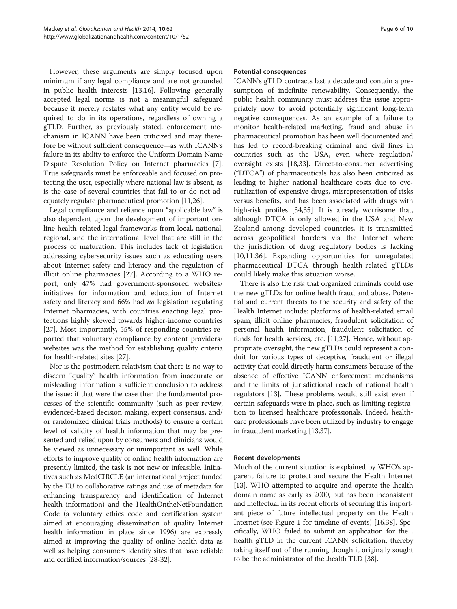However, these arguments are simply focused upon minimum if any legal compliance and are not grounded in public health interests [[13,16](#page-9-0)]. Following generally accepted legal norms is not a meaningful safeguard because it merely restates what any entity would be required to do in its operations, regardless of owning a gTLD. Further, as previously stated, enforcement mechanism in ICANN have been criticized and may therefore be without sufficient consequence—as with ICANN's failure in its ability to enforce the Uniform Domain Name Dispute Resolution Policy on Internet pharmacies [[7](#page-9-0)]. True safeguards must be enforceable and focused on protecting the user, especially where national law is absent, as is the case of several countries that fail to or do not adequately regulate pharmaceutical promotion [\[11,26\]](#page-9-0).

Legal compliance and reliance upon "applicable law" is also dependent upon the development of important online health-related legal frameworks from local, national, regional, and the international level that are still in the process of maturation. This includes lack of legislation addressing cybersecurity issues such as educating users about Internet safety and literacy and the regulation of illicit online pharmacies [[27\]](#page-9-0). According to a WHO report, only 47% had government-sponsored websites/ initiatives for information and education of Internet safety and literacy and 66% had no legislation regulating Internet pharmacies, with countries enacting legal protections highly skewed towards higher-income countries [[27\]](#page-9-0). Most importantly, 55% of responding countries reported that voluntary compliance by content providers/ websites was the method for establishing quality criteria for health-related sites [[27](#page-9-0)].

Nor is the postmodern relativism that there is no way to discern "quality" health information from inaccurate or misleading information a sufficient conclusion to address the issue: if that were the case then the fundamental processes of the scientific community (such as peer-review, evidenced-based decision making, expert consensus, and/ or randomized clinical trials methods) to ensure a certain level of validity of health information that may be presented and relied upon by consumers and clinicians would be viewed as unnecessary or unimportant as well. While efforts to improve quality of online health information are presently limited, the task is not new or infeasible. Initiatives such as MedCIRCLE (an international project funded by the EU to collaborative ratings and use of metadata for enhancing transparency and identification of Internet health information) and the HealthOntheNetFoundation Code (a voluntary ethics code and certification system aimed at encouraging dissemination of quality Internet health information in place since 1996) are expressly aimed at improving the quality of online health data as well as helping consumers identify sites that have reliable and certified information/sources [[28](#page-9-0)-[32](#page-9-0)].

#### Potential consequences

ICANN's gTLD contracts last a decade and contain a presumption of indefinite renewability. Consequently, the public health community must address this issue appropriately now to avoid potentially significant long-term negative consequences. As an example of a failure to monitor health-related marketing, fraud and abuse in pharmaceutical promotion has been well documented and has led to record-breaking criminal and civil fines in countries such as the USA, even where regulation/ oversight exists [[18,33](#page-9-0)]. Direct-to-consumer advertising ("DTCA") of pharmaceuticals has also been criticized as leading to higher national healthcare costs due to overutilization of expensive drugs, misrepresentation of risks versus benefits, and has been associated with drugs with high-risk profiles [[34,35](#page-9-0)]. It is already worrisome that, although DTCA is only allowed in the USA and New Zealand among developed countries, it is transmitted across geopolitical borders via the Internet where the jurisdiction of drug regulatory bodies is lacking [[10,11,36](#page-9-0)]. Expanding opportunities for unregulated pharmaceutical DTCA through health-related gTLDs could likely make this situation worse.

There is also the risk that organized criminals could use the new gTLDs for online health fraud and abuse. Potential and current threats to the security and safety of the Health Internet include: platforms of health-related email spam, illicit online pharmacies, fraudulent solicitation of personal health information, fraudulent solicitation of funds for health services, etc. [\[11,27\]](#page-9-0). Hence, without appropriate oversight, the new gTLDs could represent a conduit for various types of deceptive, fraudulent or illegal activity that could directly harm consumers because of the absence of effective ICANN enforcement mechanisms and the limits of jurisdictional reach of national health regulators [\[13\]](#page-9-0). These problems would still exist even if certain safeguards were in place, such as limiting registration to licensed healthcare professionals. Indeed, healthcare professionals have been utilized by industry to engage in fraudulent marketing [[13,37\]](#page-9-0).

#### Recent developments

Much of the current situation is explained by WHO's apparent failure to protect and secure the Health Internet [[13](#page-9-0)]. WHO attempted to acquire and operate the .health domain name as early as 2000, but has been inconsistent and ineffectual in its recent efforts of securing this important piece of future intellectual property on the Health Internet (see Figure [1](#page-7-0) for timeline of events) [\[16,38](#page-9-0)]. Specifically, WHO failed to submit an application for the . health gTLD in the current ICANN solicitation, thereby taking itself out of the running though it originally sought to be the administrator of the .health TLD [\[38](#page-9-0)].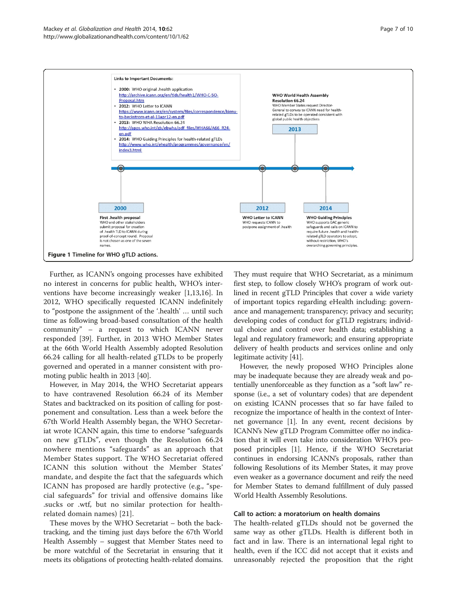<span id="page-7-0"></span>

Further, as ICANN's ongoing processes have exhibited no interest in concerns for public health, WHO's interventions have become increasingly weaker [\[1,13,16](#page-9-0)]. In 2012, WHO specifically requested ICANN indefinitely to "postpone the assignment of the '.health' … until such time as following broad-based consultation of the health community" – a request to which ICANN never responded [[39](#page-9-0)]. Further, in 2013 WHO Member States at the 66th World Health Assembly adopted Resolution 66.24 calling for all health-related gTLDs to be properly governed and operated in a manner consistent with promoting public health in 2013 [[40](#page-9-0)].

However, in May 2014, the WHO Secretariat appears to have contravened Resolution 66.24 of its Member States and backtracked on its position of calling for postponement and consultation. Less than a week before the 67th World Health Assembly began, the WHO Secretariat wrote ICANN again, this time to endorse "safeguards on new gTLDs", even though the Resolution 66.24 nowhere mentions "safeguards" as an approach that Member States support. The WHO Secretariat offered ICANN this solution without the Member States' mandate, and despite the fact that the safeguards which ICANN has proposed are hardly protective (e.g., "special safeguards" for trivial and offensive domains like .sucks or .wtf, but no similar protection for healthrelated domain names) [[21\]](#page-9-0).

These moves by the WHO Secretariat – both the backtracking, and the timing just days before the 67th World Health Assembly – suggest that Member States need to be more watchful of the Secretariat in ensuring that it meets its obligations of protecting health-related domains.

They must require that WHO Secretariat, as a minimum first step, to follow closely WHO's program of work outlined in recent gTLD Principles that cover a wide variety of important topics regarding eHealth including: governance and management; transparency; privacy and security; developing codes of conduct for gTLD registrars; individual choice and control over health data; establishing a legal and regulatory framework; and ensuring appropriate delivery of health products and services online and only legitimate activity [[41](#page-9-0)].

However, the newly proposed WHO Principles alone may be inadequate because they are already weak and potentially unenforceable as they function as a "soft law" response (i.e., a set of voluntary codes) that are dependent on existing ICANN processes that so far have failed to recognize the importance of health in the context of Internet governance [\[1](#page-9-0)]. In any event, recent decisions by ICANN's New gTLD Program Committee offer no indication that it will even take into consideration WHO's proposed principles [\[1\]](#page-9-0). Hence, if the WHO Secretariat continues in endorsing ICANN's proposals, rather than following Resolutions of its Member States, it may prove even weaker as a governance document and reify the need for Member States to demand fulfillment of duly passed World Health Assembly Resolutions.

#### Call to action: a moratorium on health domains

The health-related gTLDs should not be governed the same way as other gTLDs. Health is different both in fact and in law. There is an international legal right to health, even if the ICC did not accept that it exists and unreasonably rejected the proposition that the right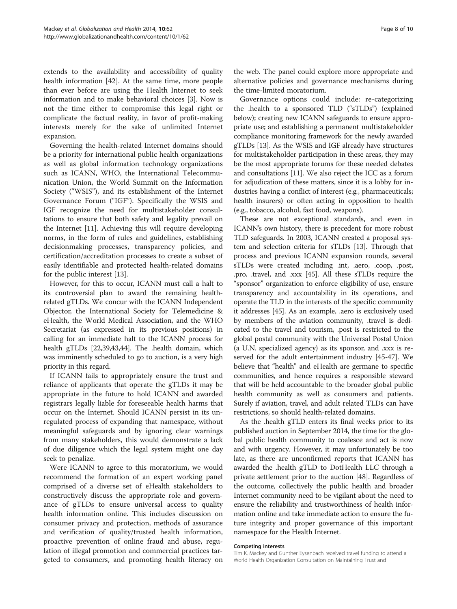extends to the availability and accessibility of quality health information [[42\]](#page-9-0). At the same time, more people than ever before are using the Health Internet to seek information and to make behavioral choices [\[3](#page-9-0)]. Now is not the time either to compromise this legal right or complicate the factual reality, in favor of profit-making interests merely for the sake of unlimited Internet expansion.

Governing the health-related Internet domains should be a priority for international public health organizations as well as global information technology organizations such as ICANN, WHO, the International Telecommunication Union, the World Summit on the Information Society ("WSIS"), and its establishment of the Internet Governance Forum ("IGF"). Specifically the WSIS and IGF recognize the need for multistakeholder consultations to ensure that both safety and legality prevail on the Internet [\[11\]](#page-9-0). Achieving this will require developing norms, in the form of rules and guidelines, establishing decisionmaking processes, transparency policies, and certification/accreditation processes to create a subset of easily identifiable and protected health-related domains for the public interest [[13\]](#page-9-0).

However, for this to occur, ICANN must call a halt to its controversial plan to award the remaining healthrelated gTLDs. We concur with the ICANN Independent Objector, the International Society for Telemedicine & eHealth, the World Medical Association, and the WHO Secretariat (as expressed in its previous positions) in calling for an immediate halt to the ICANN process for health gTLDs [[22,39,43,](#page-9-0)[44](#page-10-0)]. The .health domain, which was imminently scheduled to go to auction, is a very high priority in this regard.

If ICANN fails to appropriately ensure the trust and reliance of applicants that operate the gTLDs it may be appropriate in the future to hold ICANN and awarded registrars legally liable for foreseeable health harms that occur on the Internet. Should ICANN persist in its unregulated process of expanding that namespace, without meaningful safeguards and by ignoring clear warnings from many stakeholders, this would demonstrate a lack of due diligence which the legal system might one day seek to penalize.

Were ICANN to agree to this moratorium, we would recommend the formation of an expert working panel comprised of a diverse set of eHealth stakeholders to constructively discuss the appropriate role and governance of gTLDs to ensure universal access to quality health information online. This includes discussion on consumer privacy and protection, methods of assurance and verification of quality/trusted health information, proactive prevention of online fraud and abuse, regulation of illegal promotion and commercial practices targeted to consumers, and promoting health literacy on

the web. The panel could explore more appropriate and alternative policies and governance mechanisms during the time-limited moratorium.

Governance options could include: re-categorizing the .health to a sponsored TLD ("sTLDs") (explained below); creating new ICANN safeguards to ensure appropriate use; and establishing a permanent multistakeholder compliance monitoring framework for the newly awarded gTLDs [[13\]](#page-9-0). As the WSIS and IGF already have structures for multistakeholder participation in these areas, they may be the most appropriate forums for these needed debates and consultations [[11](#page-9-0)]. We also reject the ICC as a forum for adjudication of these matters, since it is a lobby for industries having a conflict of interest (e.g., pharmaceuticals; health insurers) or often acting in opposition to health (e.g., tobacco, alcohol, fast food, weapons).

These are not exceptional standards, and even in ICANN's own history, there is precedent for more robust TLD safeguards. In 2003, ICANN created a proposal system and selection criteria for sTLDs [\[13\]](#page-9-0). Through that process and previous ICANN expansion rounds, several sTLDs were created including .int, .aero, .coop, .post, .pro, .travel, and .xxx [\[45\]](#page-10-0). All these sTLDs require the "sponsor" organization to enforce eligibility of use, ensure transparency and accountability in its operations, and operate the TLD in the interests of the specific community it addresses [\[45\]](#page-10-0). As an example, .aero is exclusively used by members of the aviation community, .travel is dedicated to the travel and tourism, .post is restricted to the global postal community with the Universal Postal Union (a U.N. specialized agency) as its sponsor, and .xxx is reserved for the adult entertainment industry [\[45-47](#page-10-0)]. We believe that "health" and eHealth are germane to specific communities, and hence requires a responsible steward that will be held accountable to the broader global public health community as well as consumers and patients. Surely if aviation, travel, and adult related TLDs can have restrictions, so should health-related domains.

As the .health gTLD enters its final weeks prior to its published auction in September 2014, the time for the global public health community to coalesce and act is now and with urgency. However, it may unfortunately be too late, as there are unconfirmed reports that ICANN has awarded the .health gTLD to DotHealth LLC through a private settlement prior to the auction [\[48\]](#page-10-0). Regardless of the outcome, collectively the public health and broader Internet community need to be vigilant about the need to ensure the reliability and trustworthiness of health information online and take immediate action to ensure the future integrity and proper governance of this important namespace for the Health Internet.

#### Competing interests

Tim K. Mackey and Gunther Eysenbach received travel funding to attend a World Health Organization Consultation on Maintaining Trust and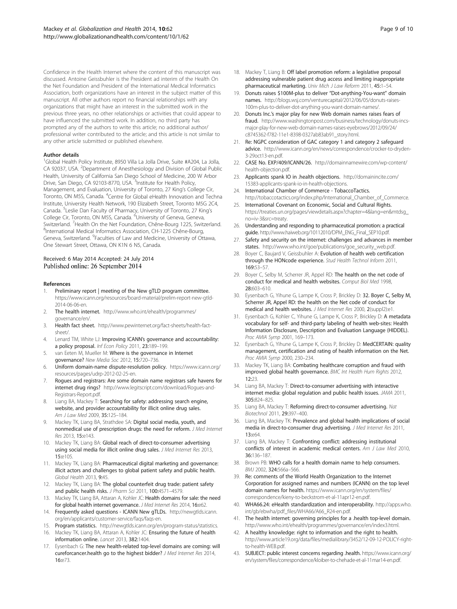<span id="page-9-0"></span>Confidence in the Health Internet where the content of this manuscript was discussed. Antoine Geissbuhler is the President ad interim of the Health On the Net Foundation and President of the International Medical Informatics Association, both organizations have an interest in the subject matter of this manuscript. All other authors report no financial relationships with any organizations that might have an interest in the submitted work in the previous three years, no other relationships or activities that could appear to have influenced the submitted work. In addition, no third party has prompted any of the authors to write this article; no additional author/ professional writer contributed to the article; and this article is not similar to any other article submitted or published elsewhere.

#### Author details

<sup>1</sup>Global Health Policy Institute, 8950 Villa La Jolla Drive, Suite #A204, La Jolla, CA 92037, USA. <sup>2</sup>Department of Anesthesiology and Division of Global Public Health, University of California San Diego School of Medicine, 200 W Arbor Drive, San Diego, CA 92103-8770, USA. <sup>3</sup>Institute for Health Policy, Management, and Evaluation, University of Toronto, 27 King's College Cir, Toronto, ON M5S, Canada. <sup>4</sup>Centre for Global eHealth Innovation and Techna Institute, University Health Network, 190 Elizabeth Street, Toronto M5G 2C4, Canada. <sup>5</sup>Leslie Dan Faculty of Pharmacy, University of Toronto, 27 King's College Cir, Toronto, ON M5S, Canada. <sup>6</sup>University of Geneva, Geneva, Switzerland. <sup>7</sup>Health On the Net Foundation, Chêne-Bourg 1225, Switzerland.<br><sup>8</sup>International Medical Informatics Association, CH-1225 Chêne-Bourg <sup>8</sup>International Medical Informatics Association, CH-1225 Chêne-Bourg, Geneva, Switzerland. <sup>9</sup>Faculties of Law and Medicine, University of Ottawa, One Stewart Street, Ottawa, ON K1N 6 N5, Canada.

#### Received: 6 May 2014 Accepted: 24 July 2014 Published online: 26 September 2014

#### References

- Preliminary report | meeting of the New gTLD program committee. [https://www.icann.org/resources/board-material/prelim-report-new-gtld-](https://www.icann.org/resources/board-material/prelim-report-new-gtld-2014-06-06-en)[2014-06-06-en](https://www.icann.org/resources/board-material/prelim-report-new-gtld-2014-06-06-en).
- The health internet. [http://www.who.int/ehealth/programmes/](http://www.who.int/ehealth/programmes/governance/en/) [governance/en/](http://www.who.int/ehealth/programmes/governance/en/).
- 3. Health fact sheet. [http://www.pewinternet.org/fact-sheets/health-fact](http://www.pewinternet.org/fact-sheets/health-fact-sheet/)[sheet/.](http://www.pewinternet.org/fact-sheets/health-fact-sheet/)
- 4. Lenard TM, White LJ: Improving ICANN's governance and accountability: a policy proposal. Inf Econ Policy 2011, 23:189-199.
- 5. van Eeten M, Mueller M: Where is the governance in Internet governance? New Media Soc 2012, 15:720–736.
- 6. Uniform domain-name dispute-resolution policy. [https://www.icann.org/](https://www.icann.org/resources/pages/udrp-2012-02-25-en) [resources/pages/udrp-2012-02-25-en.](https://www.icann.org/resources/pages/udrp-2012-02-25-en)
- 7. Rogues and registrars: Are some domain name registrars safe havens for internet drug rings? [http://www.legitscript.com/download/Rogues-and-](http://www.legitscript.com/download/Rogues-and-Registrars-Report.pdf)[Registrars-Report.pdf](http://www.legitscript.com/download/Rogues-and-Registrars-Report.pdf).
- Liang BA, Mackey T: Searching for safety: addressing search engine, website, and provider accountability for illicit online drug sales. Am J Law Med 2009, 35:125–184.
- 9. Mackey TK, Liang BA, Strathdee SA: Digital social media, youth, and nonmedical use of prescription drugs: the need for reform. J Med Internet Res 2013, 15:e143.
- 10. Mackey TK, Liang BA: Global reach of direct-to-consumer advertising using social media for illicit online drug sales. J Med Internet Res 2013, 15:e105.
- 11. Mackey TK, Liang BA: Pharmaceutical digital marketing and governance: illicit actors and challenges to global patient safety and public health. Global Health 2013, 9:45.
- 12. Mackey TK, Liang BA: The global counterfeit drug trade: patient safety and public health risks. J Pharm Sci 2011, 100:4571–4579.
- 13. Mackey TK, Liang BA, Attaran A, Kohler JC: Health domains for sale: the need for global health internet governance. J Med Internet Res 2014, 16:e62.
- 14. Frequently asked questions ICANN New gTLDs. [http://newgtlds.icann.](http://newgtlds.icann.org/en/applicants/customer-service/faqs/faqs-en) [org/en/applicants/customer-service/faqs/faqs-en.](http://newgtlds.icann.org/en/applicants/customer-service/faqs/faqs-en)
- 15. Program statistics. <http://newgtlds.icann.org/en/program-status/statistics>.
- 16. Mackey TK, Liang BA, Attaran A, Kohler JC: Ensuring the future of health information online. Lancet 2013, 382:1404.
- 17. Eysenbach G: The new health-related top-level domains are coming: will cureforcancer.health go to the highest bidder? J Med Internet Res 2014, 16:e73.
- 18. Mackey T, Liang B: Off label promotion reform: a legislative proposal addressing vulnerable patient drug access and limiting inappropriate pharmaceutical marketing. Univ Mich J Law Reform 2011, 45:1–54.
- 19. Donuts raises \$100M-plus to deliver "Dot-anything-You-want" domain names. [http://blogs.wsj.com/venturecapital/2012/06/05/donuts-raises-](http://blogs.wsj.com/venturecapital/2012/06/05/donuts-raises-100m-plus-to-deliver-dot-anything-you-want-domain-names/)[100m-plus-to-deliver-dot-anything-you-want-domain-names/.](http://blogs.wsj.com/venturecapital/2012/06/05/donuts-raises-100m-plus-to-deliver-dot-anything-you-want-domain-names/)
- 20. Donuts Inc.'s major play for new Web domain names raises fears of fraud. [http://www.washingtonpost.com/business/technology/donuts-incs](http://articles.washingtonpost.com/2012-09-24/business/35496608_1_new-domains-top-level-domains-web-addresses)[major-play-for-new-web-domain-names-raises-eyebrows/2012/09/24/](http://articles.washingtonpost.com/2012-09-24/business/35496608_1_new-domains-top-level-domains-web-addresses) [c8745362-f782-11e1-8398-0327ab83ab91\\_story.html](http://articles.washingtonpost.com/2012-09-24/business/35496608_1_new-domains-top-level-domains-web-addresses).
- 21. Re: NGPC consideration of GAC category 1 and category 2 safeguard advice. [http://www.icann.org/en/news/correspondence/crocker-to-dryden-](http://www.icann.org/en/news/correspondence/crocker-to-dryden-3-29oct13-en.pdf)[3-29oct13-en.pdf.](http://www.icann.org/en/news/correspondence/crocker-to-dryden-3-29oct13-en.pdf)
- 22. CASE No. EXP/409/ICANN/26. [http://domainnamewire.com/wp-content/](http://domainnamewire.com/wp-content/health-objection.pdf) [health-objection.pdf](http://domainnamewire.com/wp-content/health-objection.pdf).
- 23. Applicants spank IO in .health objections. [http://domainincite.com/](http://domainincite.com/15383-applicants-spank-io-in-health-objections) [15383-applicants-spank-io-in-health-objections](http://domainincite.com/15383-applicants-spank-io-in-health-objections).
- 24. International Chamber of Commerce TobaccoTactics. [http://tobaccotactics.org/index.php/International\\_Chamber\\_of\\_Commerce](http://tobaccotactics.org/index.php/International_Chamber_of_Commerce). 25. International Covenant on Economic, Social and Cultural Rights.
- [https://treaties.un.org/pages/viewdetails.aspx?chapter=4&lang=en&mtdsg\\_](https://treaties.un.org/pages/viewdetails.aspx?chapter=4&lang=en&mtdsg_no=iv-3&src=treaty) [no=iv-3&src=treaty.](https://treaties.un.org/pages/viewdetails.aspx?chapter=4&lang=en&mtdsg_no=iv-3&src=treaty)
- 26. Understanding and responding to pharmaceutical promotion: a practical guide. [http://www.haiweb.org/10112010/DPM\\_ENG\\_Final\\_SEP10.pdf.](http://www.haiweb.org/10112010/DPM_ENG_Final_SEP10.pdf)
- Safety and security on the internet: challenges and advances in member states. [http://www.who.int/goe/publications/goe\\_security\\_web.pdf](http://www.who.int/goe/publications/goe_security_web.pdf).
- 28. Boyer C, Baujard V, Geissbuhler A: Evolution of health web certification through the HONcode experience. Stud Health Technol Inform 2011, 169:53–57.
- 29. Boyer C, Selby M, Scherrer JR, Appel RD: The health on the net code of conduct for medical and health websites. Comput Biol Med 1998, 28:603–610.
- 30. Eysenbach G, Yihune G, Lampe K, Cross P, Brickley D: 32. Boyer C, Selby M, Scherrer JR, Appel RD: the health on the Net code of conduct for medical and health websites. *J Med Internet Res* 2000, 2(suppl2):e1.
- 31. Eysenbach G, Kohler C, Yihune G, Lampe K, Cross P, Brickley D: A metadata vocabulary for self- and third-party labeling of health web-sites: Health Information Disclosure, Description and Evaluation Language (HIDDEL). Proc AMIA Symp 2001, 169–173.
- 32. Eysenbach G, Yihune G, Lampe K, Cross P, Brickley D: MedCERTAIN: quality management, certification and rating of health information on the Net. Proc AMIA Symp 2000, 230–234.
- 33. Mackey TK, Liang BA: Combating healthcare corruption and fraud with improved global health governance. BMC Int Health Hum Rights 2012,  $12.23$
- 34. Liang BA, Mackey T: Direct-to-consumer advertising with interactive internet media: global regulation and public health issues. JAMA 2011, 305:824–825.
- 35. Liang BA, Mackey T: Reforming direct-to-consumer advertising. Nat Biotechnol 2011, 29:397–400.
- 36. Liang BA, Mackey TK: Prevalence and global health implications of social media in direct-to-consumer drug advertising. J Med Internet Res 2011, 13:e64.
- 37. Liang BA, Mackey T: Confronting conflict: addressing institutional conflicts of interest in academic medical centers. Am J Law Med 2010, 36:136–187.
- Brown PB: WHO calls for a health domain name to help consumers. BMJ 2002, 324:566a-566
- 39. Re: comments of the World Health Organization to the Internet Corporation for assigned names and numbers (ICANN) on the top level domain names for health. [https://www.icann.org/en/system/files/](https://www.icann.org/en/system/files/correspondence/kieny-to-beckstrom-et-al-11apr12-en.pdf) [correspondence/kieny-to-beckstrom-et-al-11apr12-en.pdf](https://www.icann.org/en/system/files/correspondence/kieny-to-beckstrom-et-al-11apr12-en.pdf).
- 40. WHA66.24: eHealth standardization and interoperability. [http://apps.who.](http://apps.who.int/gb/ebwha/pdf_files/WHA66/A66_R24-en.pdf) [int/gb/ebwha/pdf\\_files/WHA66/A66\\_R24-en.pdf.](http://apps.who.int/gb/ebwha/pdf_files/WHA66/A66_R24-en.pdf)
- 41. The health internet: governing principles for a .health top-level domain. [http://www.who.int/ehealth/programmes/governance/en/index3.html.](http://www.who.int/ehealth/programmes/governance/en/index3.html)
- 42. A healthy knowledge: right to information and the right to health. [http://www.article19.org/data/files/medialibrary/3452/12-09-12-POLICY-right](http://www.article19.org/data/files/medialibrary/3452/12-09-12-POLICY-right-to-health-WEB.pdf)[to-health-WEB.pdf.](http://www.article19.org/data/files/medialibrary/3452/12-09-12-POLICY-right-to-health-WEB.pdf)
- 43. SUBJECT: public interest concerns regarding .health. [https://www.icann.org/](https://www.icann.org/en/system/files/correspondence/kloiber-to-chehade-et-al-11mar14-en.pdf) [en/system/files/correspondence/kloiber-to-chehade-et-al-11mar14-en.pdf.](https://www.icann.org/en/system/files/correspondence/kloiber-to-chehade-et-al-11mar14-en.pdf)